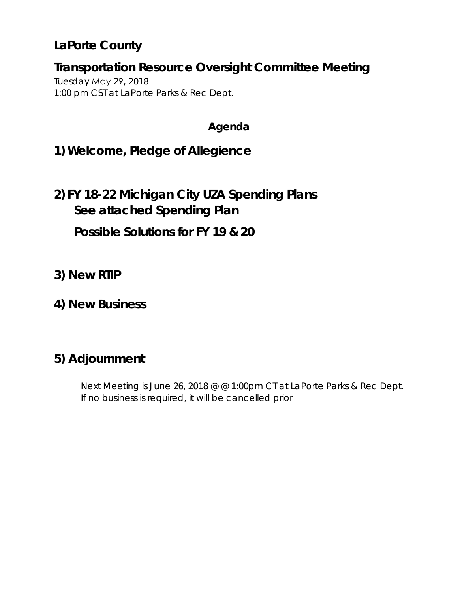# **LaPorte County**

## **Transportation Resource Oversight Committee Meeting**

Tuesday May 29, 2018 1:00 pm CST at LaPorte Parks & Rec Dept.

### **Agenda**

**1) Welcome, Pledge of Allegience**

# **2) FY 18-22 Michigan City UZA Spending Plans See attached Spending Plan**

**Possible Solutions for FY 19 & 20**

- **3) New RTIP**
- **4) New Business**

# **5) Adjournment**

Next Meeting is June 26, 2018 @ @ 1:00pm CT at LaPorte Parks & Rec Dept. If no business is required, it will be cancelled prior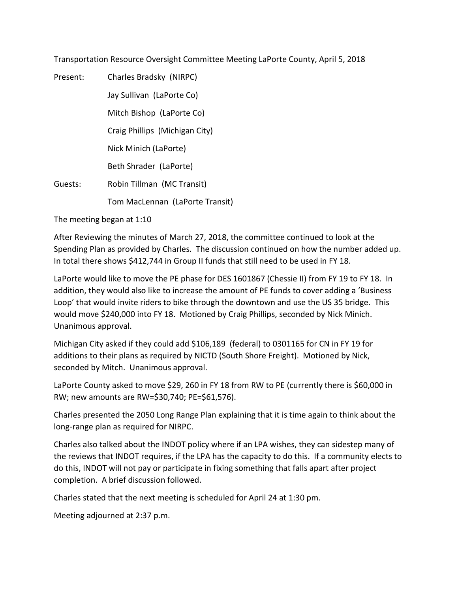Transportation Resource Oversight Committee Meeting LaPorte County, April 5, 2018

| Present: | Charles Bradsky (NIRPC)         |
|----------|---------------------------------|
|          | Jay Sullivan (LaPorte Co)       |
|          | Mitch Bishop (LaPorte Co)       |
|          | Craig Phillips (Michigan City)  |
|          | Nick Minich (LaPorte)           |
|          | Beth Shrader (LaPorte)          |
| Guests:  | Robin Tillman (MC Transit)      |
|          | Tom MacLennan (LaPorte Transit) |

The meeting began at 1:10

After Reviewing the minutes of March 27, 2018, the committee continued to look at the Spending Plan as provided by Charles. The discussion continued on how the number added up. In total there shows \$412,744 in Group II funds that still need to be used in FY 18.

LaPorte would like to move the PE phase for DES 1601867 (Chessie II) from FY 19 to FY 18. In addition, they would also like to increase the amount of PE funds to cover adding a 'Business Loop' that would invite riders to bike through the downtown and use the US 35 bridge. This would move \$240,000 into FY 18. Motioned by Craig Phillips, seconded by Nick Minich. Unanimous approval.

Michigan City asked if they could add \$106,189 (federal) to 0301165 for CN in FY 19 for additions to their plans as required by NICTD (South Shore Freight). Motioned by Nick, seconded by Mitch. Unanimous approval.

LaPorte County asked to move \$29, 260 in FY 18 from RW to PE (currently there is \$60,000 in RW; new amounts are RW=\$30,740; PE=\$61,576).

Charles presented the 2050 Long Range Plan explaining that it is time again to think about the long-range plan as required for NIRPC.

Charles also talked about the INDOT policy where if an LPA wishes, they can sidestep many of the reviews that INDOT requires, if the LPA has the capacity to do this. If a community elects to do this, INDOT will not pay or participate in fixing something that falls apart after project completion. A brief discussion followed.

Charles stated that the next meeting is scheduled for April 24 at 1:30 pm.

Meeting adjourned at 2:37 p.m.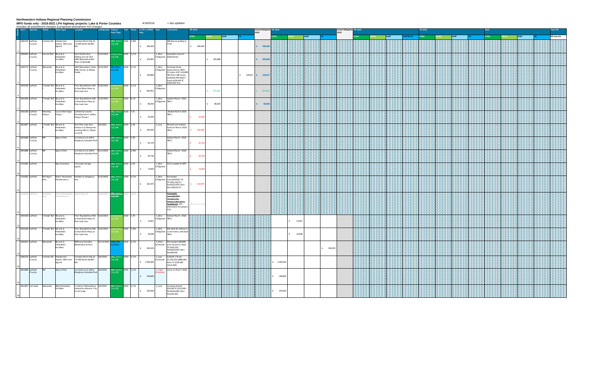#### **Northwestern Indiana Regional Planning Commission**

| MPO funds only - 2018-2021 LPA highway projects: Lake & Porter Counties<br>4/19/2018<br>< last updated<br>Includes all amendment changes & proposed amendment #10 changes |                   |        |                         |                                       |                                                                                                |                      |                             |                                  |                                |                          |                                                                                       |                 |                            |                       |                                  |         |             |         |                                          |  |  |             |  |          |                 |  |  |  |             |  |  |             |
|---------------------------------------------------------------------------------------------------------------------------------------------------------------------------|-------------------|--------|-------------------------|---------------------------------------|------------------------------------------------------------------------------------------------|----------------------|-----------------------------|----------------------------------|--------------------------------|--------------------------|---------------------------------------------------------------------------------------|-----------------|----------------------------|-----------------------|----------------------------------|---------|-------------|---------|------------------------------------------|--|--|-------------|--|----------|-----------------|--|--|--|-------------|--|--|-------------|
|                                                                                                                                                                           | $P$ Des # Sponsor |        | Route                   | Work Type                             | Location                                                                                       | Letting Date Federal | <b>Fund Type</b>            |                                  | Year Phase In TIP or SPMS Risk |                          | mments                                                                                | <b>TIP 2018</b> |                            | 2018                  | <b>Actual Obligated TIP 2019</b> |         |             |         | <b>Actual Obligated TIP 2020</b><br>2018 |  |  |             |  |          | <b>TIP 2021</b> |  |  |  | 2022        |  |  | Post-TIP    |
|                                                                                                                                                                           |                   |        |                         |                                       |                                                                                                |                      |                             |                                  |                                |                          |                                                                                       | <b>STBG</b>     | <b>HSIP</b><br><b>CMAQ</b> |                       | <b>STBG</b>                      |         | <b>HSIP</b> |         |                                          |  |  | <b>HSIP</b> |  | AP/TE-TA | <b>STBG</b>     |  |  |  | <b>STBG</b> |  |  | All sources |
|                                                                                                                                                                           | 1382219 LaPorte   | County |                         | Johnson Rd Intersection<br>signals    | Johnson Rd Int Imp @<br>improv. With new CR 400 North (Keiffer                                 |                      | $y$ UZA                     | G II Mich 2018 2_RW              | \$ 296,400                     |                          | Will start acquiring in<br>Y18                                                        | 296,400         |                            | $S = 296,400$         |                                  |         |             |         |                                          |  |  |             |  |          |                 |  |  |  |             |  |  |             |
|                                                                                                                                                                           | 1382604 LaPorte   |        | Lincoln Trail Bicycle & |                                       | From US 421 W to                                                                               | 3/14/2018            |                             | CMAQ Mich 2018 3_CN              |                                | 1_Zero                   | Awarded amount                                                                        |                 |                            |                       |                                  |         |             |         |                                          |  |  |             |  |          |                 |  |  |  |             |  |  |             |
|                                                                                                                                                                           |                   | County |                         | edestrian<br>Facilities               | <b>Existing Lincoln Trail</b><br>AND Sidewalks within<br>Town of Westville                     |                      | y UZA                       |                                  | \$ 319,997                     |                          | Obligated \$282,610.02                                                                |                 | \$ 265,688                 | \$ 265,688            |                                  |         |             |         |                                          |  |  |             |  |          |                 |  |  |  |             |  |  |             |
|                                                                                                                                                                           | 1400774 LaPorte   | County | Sidewalks               | Bicycle &<br>edestrian<br>Facilities  | ADA Sidewalks in Union 3/14/2018 TAP II Mich 2018 3_CN<br>Mills, Hanna, & Rolling<br>Prairie   |                      | 117A                        |                                  |                                | l_Zero<br>bligated       | ncrease funds<br>approved by TROC<br>October 2017 \$19,999                            |                 |                            |                       |                                  |         |             |         |                                          |  |  |             |  |          |                 |  |  |  |             |  |  |             |
|                                                                                                                                                                           |                   |        |                         |                                       |                                                                                                |                      |                             |                                  | 149,960<br>$\sim$              |                          | TAP Mich UZA funds<br>\$149,916 TAP INDOT<br>funds \$316,000 TC                       |                 |                            | $$129,917$ $$129,917$ |                                  |         |             |         |                                          |  |  |             |  |          |                 |  |  |  |             |  |  |             |
|                                                                                                                                                                           | 1401028 LaPorte   |        | Chessie Trail Bicycle & | edestrian<br>Facilities               | From Truesdell Ave NW 5/10/2018<br>to East Shore Pkwy at<br>Pine Lake Ave                      |                      |                             | AAQ Mich 2018 3_CN               | \$ 654,812                     | LZero<br>Obligated       | \$493,000/ Fed                                                                        |                 | \$ 671,812                 | 671,812               |                                  |         |             |         |                                          |  |  |             |  |          |                 |  |  |  |             |  |  |             |
|                                                                                                                                                                           | 1401028 LaPorte   |        | Chessie Trail Bicycle & |                                       | From Truesdell Ave NW 5/10/2018                                                                |                      |                             | ch 2018 4_CE                     |                                | l_Zero                   | Added March 2018                                                                      |                 |                            |                       |                                  |         |             |         |                                          |  |  |             |  |          |                 |  |  |  |             |  |  |             |
|                                                                                                                                                                           |                   |        |                         | edestrian<br>Facilities               | to East Shore Pkwy at<br>Pine Lake Ave                                                         |                      |                             |                                  | $\sim$<br>96,000               | Obligated TROC           |                                                                                       |                 | \$96,000                   | \$96,000              |                                  |         |             |         |                                          |  |  |             |  |          |                 |  |  |  |             |  |  |             |
|                                                                                                                                                                           | 1592338 LaPorte   | County | Planning<br>Project     | Project                               | Local Other Type LaPorte Economic<br>Development Corridor<br>Project Phase I                   |                      | <b>IG II Mich</b><br>ty UZA | 2018 7_PL                        | \$16,000                       |                          | Added March 2018<br><b>TROC</b>                                                       | 16,000          |                            |                       |                                  |         |             |         |                                          |  |  |             |  |          |                 |  |  |  |             |  |  |             |
|                                                                                                                                                                           | 1601867 LaPorte   |        | Chessie Trail Bicycle & | Pedestrian                            | from Pine Lake Ave<br>Entrance to Newporte                                                     | 2/8/2021             | ty UZA                      | <b>BG II Mich 2018</b> 1_PE      |                                | 2_Low                    | Moved and added<br>funds at March 2018                                                |                 |                            |                       |                                  |         |             |         |                                          |  |  |             |  |          |                 |  |  |  |             |  |  |             |
|                                                                                                                                                                           |                   |        |                         | Facilities                            | Landing SW to J Street<br>at 1st St.                                                           |                      |                             |                                  | \$240,000                      |                          | <b>TROC</b>                                                                           | 240,000         |                            |                       |                                  |         |             |         |                                          |  |  |             |  |          |                 |  |  |  |             |  |  |             |
|                                                                                                                                                                           | 1601868 LaPorte   | County |                         | Signs, Other                          | at entrance & within<br>Kingsbury Industrial Park                                              |                      | ty UZA                      | <b>BG II Mich 2018</b> 1_PE      | \$ 61,576                      |                          | Added March 2018<br><b>TROC</b>                                                       | 32,316          |                            |                       |                                  |         |             |         |                                          |  |  |             |  |          |                 |  |  |  |             |  |  |             |
|                                                                                                                                                                           | 1601868 LaPorte   | County |                         | Signs, Other                          | at entrance & within 4/11/2018<br>Kingsbury Industrial Park                                    |                      | ty UZA                      | BG II Mich 2018 2_RW             | \$ 30,740                      |                          | Added March 2018<br><b>TROC</b>                                                       | 30,740          |                            |                       |                                  |         |             |         |                                          |  |  |             |  |          |                 |  |  |  |             |  |  |             |
|                                                                                                                                                                           | 1702262 LaPorte   |        |                         | Sign Inventory                        | City-wide (all sign<br>types)                                                                  |                      | ty UZA                      | 3G II Mich 2018 1_PE             | \$ 73,600                      | LZero<br>Obligated       | 3/12- posted for RFP                                                                  | 73,600          |                            |                       |                                  |         |             |         |                                          |  |  |             |  |          |                 |  |  |  |             |  |  |             |
|                                                                                                                                                                           | 1702281 LaPorte   |        | Michigan                | Road Preventive<br>Maintenance        | Harrison to Kingsbury                                                                          |                      | ty UZA                      | 5/10/2018 STBG II Mich 2018 3_CN |                                | LZero<br>Obligated       | ncreased<br>award\$29,817.12                                                          |                 |                            |                       |                                  |         |             |         |                                          |  |  |             |  |          |                 |  |  |  |             |  |  |             |
|                                                                                                                                                                           |                   |        |                         |                                       |                                                                                                |                      |                             |                                  | \$ 232,975                     |                          | TC\$291,218.75 /<br>Fed\$232,975/Non-<br>Fed \$58,243.75                              | 232,975         |                            |                       |                                  |         |             |         |                                          |  |  |             |  |          |                 |  |  |  |             |  |  |             |
|                                                                                                                                                                           |                   |        |                         |                                       | ) Herry Si                                                                                     |                      | <b>3G Il Mich</b><br>117A   |                                  |                                |                          | creased<br>wa <sub>rd</sub> <sub>85,957</sub><br>IC\$141,127/<br>Fed\$112,902/-Non-   |                 |                            |                       |                                  |         |             |         |                                          |  |  |             |  |          |                 |  |  |  |             |  |  |             |
|                                                                                                                                                                           |                   |        |                         |                                       |                                                                                                |                      |                             |                                  |                                |                          | Fed\$28,225 LPA<br>eliminated this projec<br>A10                                      |                 |                            |                       |                                  |         |             |         |                                          |  |  |             |  |          |                 |  |  |  |             |  |  |             |
|                                                                                                                                                                           | 1401028 LaPorte   |        | Chessie Trail Bicycle & | Pedestrian<br>Facilities              | From Truesdell Ave NW 5/10/2018<br>to East Shore Pkwy at<br>Pine Lake Ave                      |                      |                             | $Mich$ 2018 $1$ PE               | \$74,821                       | 1_Zero<br>Obligated TROC | Added March 2018                                                                      |                 |                            |                       |                                  |         | 14,821      |         |                                          |  |  |             |  |          |                 |  |  |  |             |  |  |             |
|                                                                                                                                                                           | 1401028 LaPorte   |        | Chessie Trail Bicycle & |                                       | From Truesdell Ave NW 5/10/2018                                                                |                      |                             | ch 2018 2_RW                     |                                | l_Zero                   | AM April 18; Added t                                                                  |                 |                            |                       |                                  |         |             |         |                                          |  |  |             |  |          |                 |  |  |  |             |  |  |             |
|                                                                                                                                                                           |                   |        |                         | edestrian<br>Facilities               | to East Shore Pkwy at<br>Pine Lake Ave                                                         |                      |                             |                                  | S<br>16,636                    |                          | Obligated cover extra costs April<br><b>TROC</b>                                      |                 |                            |                       |                                  |         | 16,636      |         |                                          |  |  |             |  |          |                 |  |  |  |             |  |  |             |
|                                                                                                                                                                           | 1500422 LaPorte   |        | Sidewalks               | Bicycle &<br>Pedestrian<br>Facilities | SRTS near Handley<br>Elementary School.                                                        | 12/12/2018           | WA TAP<br>(Porte            | 2019 3_CN                        | 194,020<br>$\sqrt{2}$          | _Med                     | Decreased \$26,699<br>Schedule and moved to 2019<br>TC\$242,525/<br>Fed\$194,020/Non- |                 |                            |                       |                                  |         |             | 194,020 |                                          |  |  |             |  |          |                 |  |  |  |             |  |  |             |
|                                                                                                                                                                           | 1382219 LaPorte   | County |                         | Johnson Rd Intersection               | Johnson Rd Int Imp @ 3/6/2019 STBG II Mich 2019 3_CN<br>improv. With new CR 400 North (Keiffer |                      | ty UZA                      |                                  |                                | 2_Low<br>chedule         | fed\$48,505<br>Q3LQR- CN est<br>\$1,100,020 (\$890,000                                |                 |                            |                       |                                  |         |             |         |                                          |  |  |             |  |          |                 |  |  |  |             |  |  |             |
|                                                                                                                                                                           | 1601868 LaPorte   |        |                         | signals<br>Signs, Other               | Rd<br>at entrance & within 3/6/2019                                                            |                      |                             | BG II Mich 2019 3_CN             | \$ 1,000,000                   |                          | fed) CE \$150,000<br>(\$110,000)<br>nove to March 2019                                |                 |                            |                       | 1,000,000                        |         |             |         |                                          |  |  |             |  |          |                 |  |  |  |             |  |  |             |
|                                                                                                                                                                           |                   | County |                         |                                       | Kingsbury Industrial Park                                                                      |                      | ty UZA                      |                                  | \$ 149,600                     |                          |                                                                                       |                 |                            |                       |                                  | 149,600 |             |         |                                          |  |  |             |  |          |                 |  |  |  |             |  |  |             |
|                                                                                                                                                                           | 1601922 LaCrosse  |        | Sidewalks               | <b>Bike/Pedestrian</b><br>Facilities  | Construct Sidewalks at 3/6/2019<br>various locations in City<br>of LaCrosse.                   |                      | y UZA                       | <b>BG II Mich 2019 3_CN</b>      | \$ 100,000                     | 2_Low                    | Increase Award<br>\$20,000 TC\$125,000/<br>Fed\$100,000/Non-<br>ed\$25,000            |                 |                            |                       |                                  | 100,000 |             |         |                                          |  |  |             |  |          |                 |  |  |  |             |  |  |             |
|                                                                                                                                                                           |                   |        |                         |                                       |                                                                                                |                      |                             |                                  |                                |                          |                                                                                       |                 |                            |                       |                                  |         |             |         |                                          |  |  |             |  |          |                 |  |  |  |             |  |  |             |